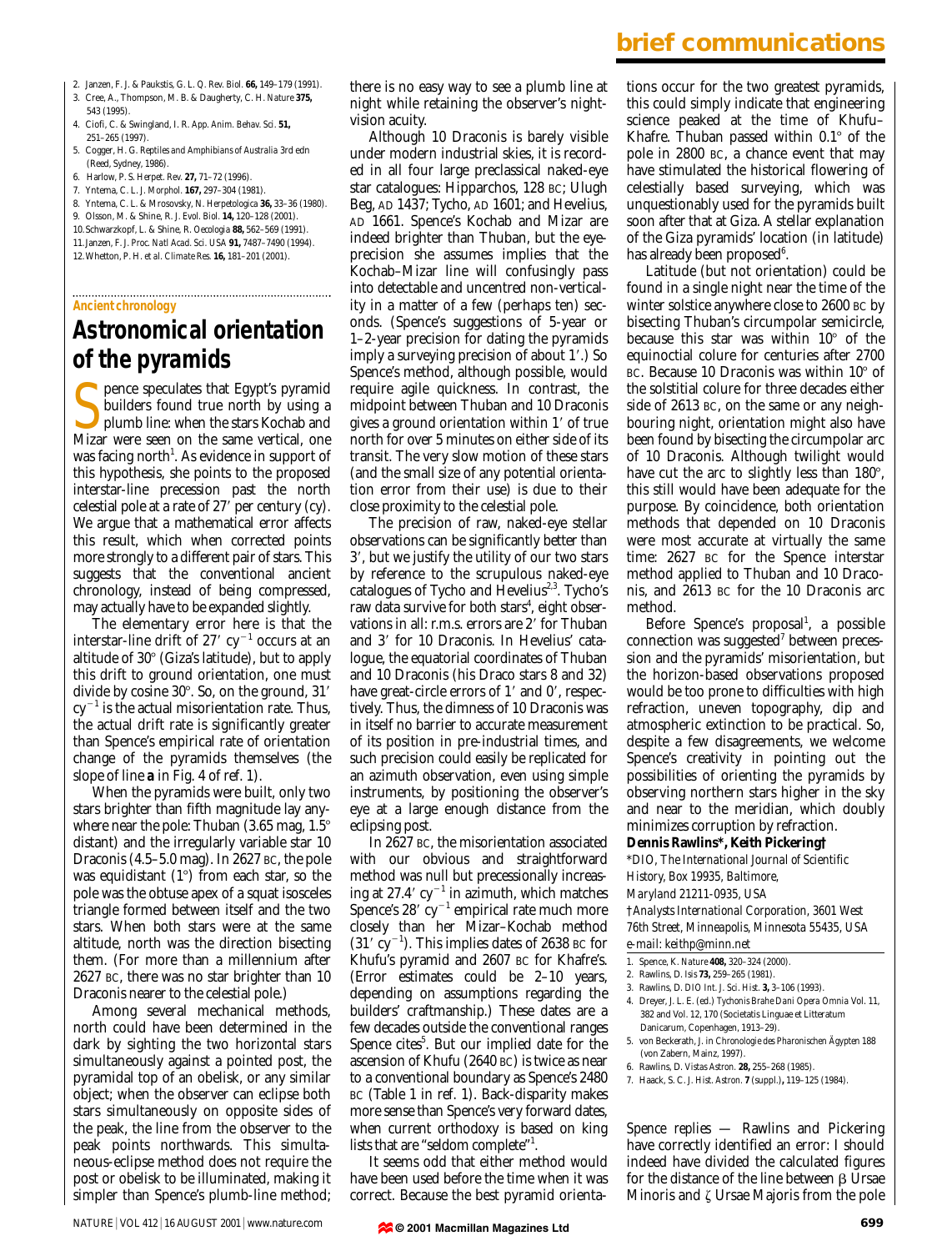## **brief communications**

- 2. Janzen, F. J. & Paukstis, G. L. *Q. Rev. Biol.* **66,** 149–179 (1991).
- 3. Cree, A., Thompson, M. B. & Daugherty, C. H. *Nature* **375,**  543 (1995).
- 4. Ciofi, C. & Swingland, I. R. *App. Anim. Behav. Sci.* **51,** 251–265 (1997).
- 5. Cogger, H. G. *Reptiles and Amphibians of Australia* 3rd edn (Reed, Sydney, 1986).
- 6. Harlow, P. S. *Herpet. Rev.* **27,** 71–72 (1996).
- 7. Yntema, C. L. *J. Morphol.* **167,** 297–304 (1981).
- 8. Yntema, C. L. & Mrosovsky, N. *Herpetologica* **36,** 33–36 (1980).
- 9. Olsson, M. & Shine, R. *J. Evol. Biol.* **14,** 120–128 (2001).
- 10.Schwarzkopf, L. & Shine, R. *Oecologia* **88,** 562–569 (1991). 11.Janzen, F. J. *Proc. Natl Acad. Sci. USA* **91,** 7487–7490 (1994).
- 12.Whetton, P. H. *et al. Climate Res.* **16,** 181–201 (2001).

#### **Ancient chronology**

# **Astronomical orientation of the pyramids**

Seculates that Egypt's pyramid<br>builders found true north by using a<br>plumb line: when the stars Kochab and<br>Mizar were seen on the same vertical, one pence speculates that Egypt's pyramid builders found true north by using a plumb line: when the stars Kochab and was facing north<sup>1</sup>. As evidence in support of this hypothesis, she points to the proposed interstar-line precession past the north celestial pole at a rate of 27 per century (cy). We argue that a mathematical error affects this result, which when corrected points more strongly to a different pair of stars. This suggests that the conventional ancient chronology, instead of being compressed, may actually have to be expanded slightly.

The elementary error here is that the interstar-line drift of 27'  $cy^{-1}$  occurs at an altitude of  $30^\circ$  (Giza's latitude), but to apply this drift to ground orientation, one must divide by cosine  $30^{\circ}$ . So, on the ground,  $31'$  $cy^{-1}$  is the actual misorientation rate. Thus, the actual drift rate is significantly greater than Spence's empirical rate of orientation change of the pyramids themselves (the slope of line *a* in Fig. 4 of ref. 1).

When the pyramids were built, only two stars brighter than fifth magnitude lay anywhere near the pole: Thuban  $(3.65 \text{ mag}, 1.5^{\circ})$ distant) and the irregularly variable star 10 Draconis (4.5–5.0 mag). In 2627 BC, the pole was equidistant  $(1^{\circ})$  from each star, so the pole was the obtuse apex of a squat isosceles triangle formed between itself and the two stars. When both stars were at the same altitude, north was the direction bisecting them. (For more than a millennium after 2627 BC, there was no star brighter than 10 Draconis nearer to the celestial pole.)

Among several mechanical methods, north could have been determined in the dark by sighting the two horizontal stars simultaneously against a pointed post, the pyramidal top of an obelisk, or any similar object; when the observer can eclipse both stars simultaneously on opposite sides of the peak, the line from the observer to the peak points northwards. This simultaneous-eclipse method does not require the post or obelisk to be illuminated, making it simpler than Spence's plumb-line method;

there is no easy way to see a plumb line at night while retaining the observer's nightvision acuity.

Although 10 Draconis is barely visible under modern industrial skies, it is recorded in all four large preclassical naked-eye star catalogues: Hipparchos, 128 BC; Ulugh Beg, AD 1437; Tycho, AD 1601; and Hevelius, AD 1661. Spence's Kochab and Mizar are indeed brighter than Thuban, but the eyeprecision she assumes implies that the Kochab–Mizar line will confusingly pass into detectable and uncentred non-verticality in a matter of a few (perhaps ten) seconds. (Spence's suggestions of 5-year or 1–2-year precision for dating the pyramids imply a surveying precision of about 1 .) So Spence's method, although possible, would require agile quickness. In contrast, the midpoint between Thuban and 10 Draconis gives a ground orientation within 1 of true north for over 5 minutes on either side of its transit. The very slow motion of these stars (and the small size of any potential orientation error from their use) is due to their close proximity to the celestial pole.

The precision of raw, naked-eye stellar observations can be significantly better than 3 , but we justify the utility of our two stars by reference to the scrupulous naked-eye catalogues of Tycho and Hevelius<sup> $2,3$ </sup>. Tycho's raw data survive for both stars<sup>4</sup>, eight observations in all: r.m.s. errors are 2 for Thuban and 3 for 10 Draconis. In Hevelius' catalogue, the equatorial coordinates of Thuban and 10 Draconis (his Draco stars 8 and 32) have great-circle errors of 1' and 0', respectively. Thus, the dimness of 10 Draconis was in itself no barrier to accurate measurement of its position in pre-industrial times, and such precision could easily be replicated for an azimuth observation, even using simple instruments, by positioning the observer's eye at a large enough distance from the eclipsing post.

In 2627 BC, the misorientation associated with our obvious and straightforward method was null but precessionally increasing at 27.4′  $cy^{-1}$  in azimuth, which matches Spence's 28′  $\rm{cy^{-1}}$  empirical rate much more closely than her Mizar–Kochab method  $(31' \text{ cy}^{-1})$ . This implies dates of 2638 BC for Khufu's pyramid and 2607 BC for Khafre's. (Error estimates could be 2–10 years, depending on assumptions regarding the builders' craftmanship.) These dates are a few decades outside the conventional ranges Spence cites<sup>5</sup>. But our implied date for the ascension of Khufu (2640 BC) is twice as near to a conventional boundary as Spence's 2480 BC (Table 1 in ref. 1). Back-disparity makes more sense than Spence's very forward dates, when current orthodoxy is based on king lists that are "seldom complete"<sup>1</sup>.

It seems odd that either method would have been used before the time when it was correct. Because the best pyramid orientations occur for the two greatest pyramids, this could simply indicate that engineering science peaked at the time of Khufu– Khafre. Thuban passed within  $0.1^\circ$  of the pole in 2800 BC, a chance event that may have stimulated the historical flowering of celestially based surveying, which was unquestionably used for the pyramids built soon after that at Giza. A stellar explanation of the Giza pyramids' location (in latitude) has already been proposed<sup>6</sup>.

Latitude (but not orientation) could be found in a single night near the time of the winter solstice anywhere close to 2600 BC by bisecting Thuban's circumpolar semicircle, because this star was within  $10^{\circ}$  of the equinoctial colure for centuries after 2700 BC. Because 10 Draconis was within  $10^{\circ}$  of the solstitial colure for three decades either side of 2613 BC, on the same or any neighbouring night, orientation might also have been found by bisecting the circumpolar arc of 10 Draconis. Although twilight would have cut the arc to slightly less than  $180^\circ$ , this still would have been adequate for the purpose. By coincidence, both orientation methods that depended on 10 Draconis were most accurate at virtually the same time: 2627 BC for the Spence interstar method applied to Thuban and 10 Draconis, and 2613 BC for the 10 Draconis arc method.

Before Spence's proposal<sup>1</sup>, a possible connection was suggested<sup> $\prime$ </sup> between precession and the pyramids' misorientation, but the horizon-based observations proposed would be too prone to difficulties with high refraction, uneven topography, dip and atmospheric extinction to be practical. So, despite a few disagreements, we welcome Spence's creativity in pointing out the possibilities of orienting the pyramids by observing northern stars higher in the sky and near to the meridian, which doubly minimizes corruption by refraction.

#### **Dennis Rawlins\*, Keith Pickering†**

\**DIO, The International Journal of Scientific History, Box 19935, Baltimore,* 

*Maryland 21211-0935, USA*

†*Analysts International Corporation, 3601 West 76th Street, Minneapolis, Minnesota 55435, USA*

### *e-mail: keithp@minn.net*

- 1. Spence, K. *Nature* **408,** 320–324 (2000).
- 2. Rawlins, D. *Isis* **73,** 259–265 (1981).
- 3. Rawlins, D. *DIO Int. J. Sci. Hist.* **3,** 3–106 (1993).
- 4. Dreyer, J. L. E. (ed.) *Tychonis Brahe Dani Opera Omnia* Vol. 11, 382 and Vol. 12, 170 (Societatis Linguae et Litteratum Danicarum, Copenhagen, 1913–29).
- 5. von Beckerath, J. in *Chronologie des Pharonischen Ägypten* 188 (von Zabern, Mainz, 1997).
- 6. Rawlins, D. *Vistas Astron.* **28,** 255–268 (1985).
- 7. Haack, S. C. *J. Hist. Astron.* **7** (suppl.)**,** 119–125 (1984).

*Spence replies —* Rawlins and Pickering have correctly identified an error: I should indeed have divided the calculated figures for the distance of the line between  $\beta$  Ursae Minoris and  $\zeta$  Ursae Majoris from the pole